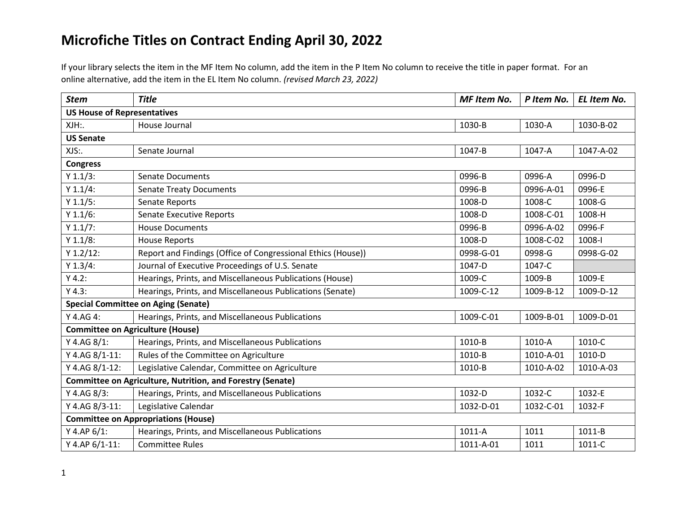If your library selects the item in the MF Item No column, add the item in the P Item No column to receive the title in paper format. For an online alternative, add the item in the EL Item No column. *(revised March 23, 2022)*

| <b>Stem</b>                                                       | <b>Title</b>                                                 | <b>MF Item No.</b> | P Item No. | EL Item No. |  |
|-------------------------------------------------------------------|--------------------------------------------------------------|--------------------|------------|-------------|--|
| <b>US House of Representatives</b>                                |                                                              |                    |            |             |  |
| XJH:                                                              | House Journal                                                | 1030-B             | 1030-A     | 1030-B-02   |  |
| <b>US Senate</b>                                                  |                                                              |                    |            |             |  |
| XJS:.                                                             | Senate Journal                                               | 1047-B             | 1047-A     | 1047-A-02   |  |
| <b>Congress</b>                                                   |                                                              |                    |            |             |  |
| Y 1.1/3:                                                          | <b>Senate Documents</b>                                      | 0996-B             | 0996-A     | 0996-D      |  |
| Y 1.1/4:                                                          | <b>Senate Treaty Documents</b>                               | 0996-B             | 0996-A-01  | 0996-E      |  |
| Y 1.1/5:                                                          | Senate Reports                                               | 1008-D             | 1008-C     | 1008-G      |  |
| Y 1.1/6:                                                          | <b>Senate Executive Reports</b>                              | 1008-D             | 1008-C-01  | 1008-H      |  |
| Y 1.1/7:                                                          | <b>House Documents</b>                                       | 0996-B             | 0996-A-02  | 0996-F      |  |
| Y 1.1/8:                                                          | <b>House Reports</b>                                         | 1008-D             | 1008-C-02  | 1008-l      |  |
| $Y 1.2/12$ :                                                      | Report and Findings (Office of Congressional Ethics (House)) | 0998-G-01          | 0998-G     | 0998-G-02   |  |
| Y 1.3/4:                                                          | Journal of Executive Proceedings of U.S. Senate              | 1047-D             | 1047-C     |             |  |
| Y 4.2:                                                            | Hearings, Prints, and Miscellaneous Publications (House)     | 1009-C             | 1009-B     | 1009-E      |  |
| Y 4.3:                                                            | Hearings, Prints, and Miscellaneous Publications (Senate)    | 1009-C-12          | 1009-B-12  | 1009-D-12   |  |
|                                                                   | <b>Special Committee on Aging (Senate)</b>                   |                    |            |             |  |
| Y 4.AG 4:                                                         | Hearings, Prints, and Miscellaneous Publications             | 1009-C-01          | 1009-B-01  | 1009-D-01   |  |
| <b>Committee on Agriculture (House)</b>                           |                                                              |                    |            |             |  |
| Y 4.AG 8/1:                                                       | Hearings, Prints, and Miscellaneous Publications             | 1010-B             | 1010-A     | 1010-C      |  |
| Y 4.AG 8/1-11:                                                    | Rules of the Committee on Agriculture                        | 1010-B             | 1010-A-01  | 1010-D      |  |
| Y 4.AG 8/1-12:                                                    | Legislative Calendar, Committee on Agriculture               | 1010-B             | 1010-A-02  | 1010-A-03   |  |
| <b>Committee on Agriculture, Nutrition, and Forestry (Senate)</b> |                                                              |                    |            |             |  |
| Y 4.AG 8/3:                                                       | Hearings, Prints, and Miscellaneous Publications             | 1032-D             | 1032-C     | 1032-E      |  |
| Y 4.AG 8/3-11:                                                    | Legislative Calendar                                         | 1032-D-01          | 1032-C-01  | 1032-F      |  |
| <b>Committee on Appropriations (House)</b>                        |                                                              |                    |            |             |  |
| Y 4.AP $6/1$ :                                                    | Hearings, Prints, and Miscellaneous Publications             | 1011-A             | 1011       | 1011-B      |  |
| Y 4.AP 6/1-11:                                                    | <b>Committee Rules</b>                                       | 1011-A-01          | 1011       | 1011-C      |  |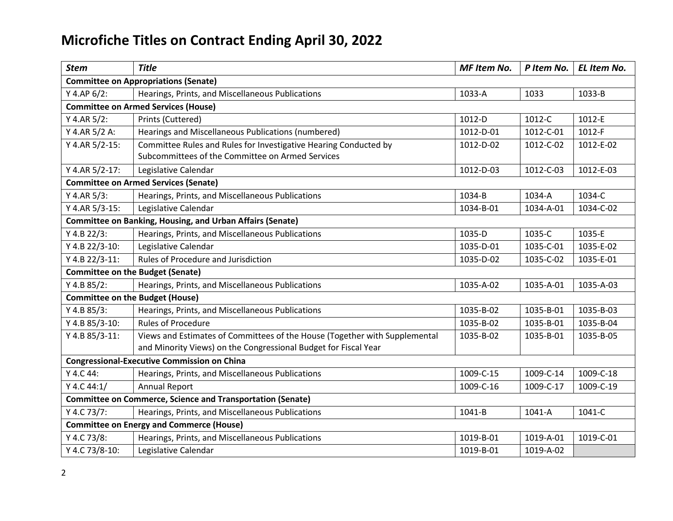| <b>Stem</b>                                                       | <b>Title</b>                                                                                                                                  | <b>MF Item No.</b> | P Item No. | EL Item No. |  |
|-------------------------------------------------------------------|-----------------------------------------------------------------------------------------------------------------------------------------------|--------------------|------------|-------------|--|
| <b>Committee on Appropriations (Senate)</b>                       |                                                                                                                                               |                    |            |             |  |
| $Y$ 4.AP 6/2:                                                     | Hearings, Prints, and Miscellaneous Publications                                                                                              | 1033-A             | 1033       | 1033-B      |  |
|                                                                   | <b>Committee on Armed Services (House)</b>                                                                                                    |                    |            |             |  |
| Y 4.AR $5/2$ :                                                    | Prints (Cuttered)                                                                                                                             | 1012-D             | 1012-C     | 1012-E      |  |
| Y 4.AR 5/2 A:                                                     | Hearings and Miscellaneous Publications (numbered)                                                                                            | 1012-D-01          | 1012-C-01  | 1012-F      |  |
| Y 4.AR 5/2-15:                                                    | Committee Rules and Rules for Investigative Hearing Conducted by<br>Subcommittees of the Committee on Armed Services                          | 1012-D-02          | 1012-C-02  | 1012-E-02   |  |
| Y 4.AR 5/2-17:                                                    | Legislative Calendar                                                                                                                          | 1012-D-03          | 1012-C-03  | 1012-E-03   |  |
|                                                                   | <b>Committee on Armed Services (Senate)</b>                                                                                                   |                    |            |             |  |
| Y 4.AR $5/3$ :                                                    | Hearings, Prints, and Miscellaneous Publications                                                                                              | 1034-B             | 1034-A     | 1034-C      |  |
| Y 4.AR 5/3-15:                                                    | Legislative Calendar                                                                                                                          | 1034-B-01          | 1034-A-01  | 1034-C-02   |  |
|                                                                   | <b>Committee on Banking, Housing, and Urban Affairs (Senate)</b>                                                                              |                    |            |             |  |
| Y 4.B 22/3:                                                       | Hearings, Prints, and Miscellaneous Publications                                                                                              | 1035-D             | 1035-C     | 1035-E      |  |
| Y 4.B 22/3-10:                                                    | Legislative Calendar                                                                                                                          | 1035-D-01          | 1035-C-01  | 1035-E-02   |  |
| Y 4.B 22/3-11:                                                    | Rules of Procedure and Jurisdiction                                                                                                           | 1035-D-02          | 1035-C-02  | 1035-E-01   |  |
|                                                                   | <b>Committee on the Budget (Senate)</b>                                                                                                       |                    |            |             |  |
| Y 4.B 85/2:                                                       | Hearings, Prints, and Miscellaneous Publications                                                                                              | 1035-A-02          | 1035-A-01  | 1035-A-03   |  |
| <b>Committee on the Budget (House)</b>                            |                                                                                                                                               |                    |            |             |  |
| Y 4.B 85/3:                                                       | Hearings, Prints, and Miscellaneous Publications                                                                                              | 1035-B-02          | 1035-B-01  | 1035-B-03   |  |
| Y 4.B 85/3-10:                                                    | <b>Rules of Procedure</b>                                                                                                                     | 1035-B-02          | 1035-B-01  | 1035-B-04   |  |
| Y 4.B 85/3-11:                                                    | Views and Estimates of Committees of the House (Together with Supplemental<br>and Minority Views) on the Congressional Budget for Fiscal Year | 1035-B-02          | 1035-B-01  | 1035-B-05   |  |
| <b>Congressional-Executive Commission on China</b>                |                                                                                                                                               |                    |            |             |  |
| Y 4.C 44:                                                         | Hearings, Prints, and Miscellaneous Publications                                                                                              | 1009-C-15          | 1009-C-14  | 1009-C-18   |  |
| Y 4.C 44:1/                                                       | <b>Annual Report</b>                                                                                                                          | 1009-C-16          | 1009-C-17  | 1009-C-19   |  |
| <b>Committee on Commerce, Science and Transportation (Senate)</b> |                                                                                                                                               |                    |            |             |  |
| Y 4.C 73/7:                                                       | Hearings, Prints, and Miscellaneous Publications                                                                                              | 1041-B             | 1041-A     | 1041-C      |  |
| <b>Committee on Energy and Commerce (House)</b>                   |                                                                                                                                               |                    |            |             |  |
| Y 4.C 73/8:                                                       | Hearings, Prints, and Miscellaneous Publications                                                                                              | 1019-B-01          | 1019-A-01  | 1019-C-01   |  |
| Y 4.C 73/8-10:                                                    | Legislative Calendar                                                                                                                          | 1019-B-01          | 1019-A-02  |             |  |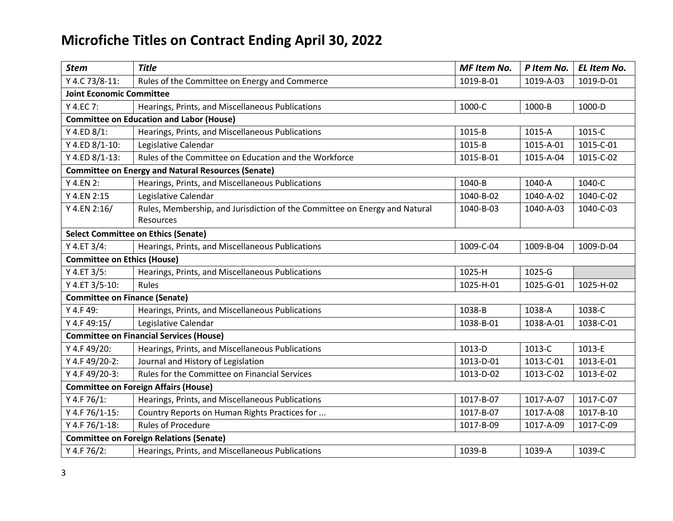| <b>Stem</b>                                    | <b>Title</b>                                                                            | MF Item No. | P Item No. | EL Item No. |  |
|------------------------------------------------|-----------------------------------------------------------------------------------------|-------------|------------|-------------|--|
| Y 4.C 73/8-11:                                 | Rules of the Committee on Energy and Commerce                                           | 1019-B-01   | 1019-A-03  | 1019-D-01   |  |
| <b>Joint Economic Committee</b>                |                                                                                         |             |            |             |  |
| Y 4.EC 7:                                      | Hearings, Prints, and Miscellaneous Publications                                        | 1000-C      | 1000-B     | 1000-D      |  |
|                                                | <b>Committee on Education and Labor (House)</b>                                         |             |            |             |  |
| Y 4.ED 8/1:                                    | Hearings, Prints, and Miscellaneous Publications                                        | 1015-B      | 1015-A     | 1015-C      |  |
| Y 4.ED 8/1-10:                                 | Legislative Calendar                                                                    | 1015-B      | 1015-A-01  | 1015-C-01   |  |
| Y 4.ED 8/1-13:                                 | Rules of the Committee on Education and the Workforce                                   | 1015-B-01   | 1015-A-04  | 1015-C-02   |  |
|                                                | <b>Committee on Energy and Natural Resources (Senate)</b>                               |             |            |             |  |
| Y 4.EN 2:                                      | Hearings, Prints, and Miscellaneous Publications                                        | 1040-B      | 1040-A     | 1040-C      |  |
| Y 4.EN 2:15                                    | Legislative Calendar                                                                    | 1040-B-02   | 1040-A-02  | 1040-C-02   |  |
| Y 4.EN 2:16/                                   | Rules, Membership, and Jurisdiction of the Committee on Energy and Natural<br>Resources | 1040-B-03   | 1040-A-03  | 1040-C-03   |  |
|                                                | <b>Select Committee on Ethics (Senate)</b>                                              |             |            |             |  |
| Y 4.ET 3/4:                                    | Hearings, Prints, and Miscellaneous Publications                                        | 1009-C-04   | 1009-B-04  | 1009-D-04   |  |
| <b>Committee on Ethics (House)</b>             |                                                                                         |             |            |             |  |
| Y 4.ET 3/5:                                    | Hearings, Prints, and Miscellaneous Publications                                        | 1025-H      | 1025-G     |             |  |
| Y 4.ET 3/5-10:                                 | Rules                                                                                   | 1025-H-01   | 1025-G-01  | 1025-H-02   |  |
| <b>Committee on Finance (Senate)</b>           |                                                                                         |             |            |             |  |
| Y 4.F 49:                                      | Hearings, Prints, and Miscellaneous Publications                                        | 1038-B      | 1038-A     | 1038-C      |  |
| Y 4.F 49:15/                                   | Legislative Calendar                                                                    | 1038-B-01   | 1038-A-01  | 1038-C-01   |  |
|                                                | <b>Committee on Financial Services (House)</b>                                          |             |            |             |  |
| Y 4.F 49/20:                                   | Hearings, Prints, and Miscellaneous Publications                                        | 1013-D      | 1013-C     | 1013-E      |  |
| Y 4.F 49/20-2:                                 | Journal and History of Legislation                                                      | 1013-D-01   | 1013-C-01  | 1013-E-01   |  |
| Y 4.F 49/20-3:                                 | Rules for the Committee on Financial Services                                           | 1013-D-02   | 1013-C-02  | 1013-E-02   |  |
| <b>Committee on Foreign Affairs (House)</b>    |                                                                                         |             |            |             |  |
| Y 4.F 76/1:                                    | Hearings, Prints, and Miscellaneous Publications                                        | 1017-B-07   | 1017-A-07  | 1017-C-07   |  |
| Y 4.F 76/1-15:                                 | Country Reports on Human Rights Practices for                                           | 1017-B-07   | 1017-A-08  | 1017-B-10   |  |
| Y 4.F 76/1-18:                                 | <b>Rules of Procedure</b>                                                               | 1017-B-09   | 1017-A-09  | 1017-C-09   |  |
| <b>Committee on Foreign Relations (Senate)</b> |                                                                                         |             |            |             |  |
| Y 4.F 76/2:                                    | Hearings, Prints, and Miscellaneous Publications                                        | 1039-B      | 1039-A     | 1039-C      |  |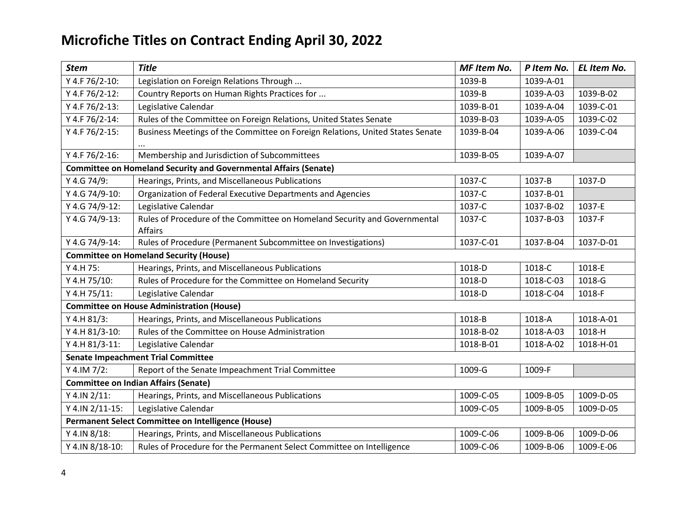| <b>Stem</b>                                        | <b>Title</b>                                                                  | <b>MF Item No.</b> | P Item No. | EL Item No. |  |
|----------------------------------------------------|-------------------------------------------------------------------------------|--------------------|------------|-------------|--|
| Y 4.F 76/2-10:                                     | Legislation on Foreign Relations Through                                      | 1039-B             | 1039-A-01  |             |  |
| Y 4.F 76/2-12:                                     | Country Reports on Human Rights Practices for                                 | 1039-B             | 1039-A-03  | 1039-B-02   |  |
| Y 4.F 76/2-13:                                     | Legislative Calendar                                                          | 1039-B-01          | 1039-A-04  | 1039-C-01   |  |
| Y 4.F 76/2-14:                                     | Rules of the Committee on Foreign Relations, United States Senate             | 1039-B-03          | 1039-A-05  | 1039-C-02   |  |
| Y 4.F 76/2-15:                                     | Business Meetings of the Committee on Foreign Relations, United States Senate | 1039-B-04          | 1039-A-06  | 1039-C-04   |  |
| Y 4.F 76/2-16:                                     | Membership and Jurisdiction of Subcommittees                                  | 1039-B-05          | 1039-A-07  |             |  |
|                                                    | <b>Committee on Homeland Security and Governmental Affairs (Senate)</b>       |                    |            |             |  |
| Y 4.G 74/9:                                        | Hearings, Prints, and Miscellaneous Publications                              | 1037-C             | 1037-B     | 1037-D      |  |
| Y 4.G 74/9-10:                                     | Organization of Federal Executive Departments and Agencies                    | 1037-C             | 1037-B-01  |             |  |
| Y 4.G 74/9-12:                                     | Legislative Calendar                                                          | 1037-C             | 1037-B-02  | 1037-E      |  |
| Y 4.G 74/9-13:                                     | Rules of Procedure of the Committee on Homeland Security and Governmental     | 1037-C             | 1037-B-03  | 1037-F      |  |
|                                                    | <b>Affairs</b>                                                                |                    |            |             |  |
| Y 4.G 74/9-14:                                     | Rules of Procedure (Permanent Subcommittee on Investigations)                 | 1037-C-01          | 1037-B-04  | 1037-D-01   |  |
| <b>Committee on Homeland Security (House)</b>      |                                                                               |                    |            |             |  |
| Y 4.H 75:                                          | Hearings, Prints, and Miscellaneous Publications                              | 1018-D             | 1018-C     | 1018-E      |  |
| Y 4.H 75/10:                                       | Rules of Procedure for the Committee on Homeland Security                     | 1018-D             | 1018-C-03  | 1018-G      |  |
| Y 4.H 75/11:                                       | Legislative Calendar                                                          | 1018-D             | 1018-C-04  | 1018-F      |  |
| <b>Committee on House Administration (House)</b>   |                                                                               |                    |            |             |  |
| Y 4.H 81/3:                                        | Hearings, Prints, and Miscellaneous Publications                              | 1018-B             | 1018-A     | 1018-A-01   |  |
| Y 4.H 81/3-10:                                     | Rules of the Committee on House Administration                                | 1018-B-02          | 1018-A-03  | 1018-H      |  |
| Y 4.H 81/3-11:                                     | Legislative Calendar                                                          | 1018-B-01          | 1018-A-02  | 1018-H-01   |  |
| <b>Senate Impeachment Trial Committee</b>          |                                                                               |                    |            |             |  |
| Y 4.IM $7/2$ :                                     | Report of the Senate Impeachment Trial Committee                              | 1009-G             | 1009-F     |             |  |
| <b>Committee on Indian Affairs (Senate)</b>        |                                                                               |                    |            |             |  |
| Y 4.IN 2/11:                                       | Hearings, Prints, and Miscellaneous Publications                              | 1009-C-05          | 1009-B-05  | 1009-D-05   |  |
| Y 4.IN 2/11-15:                                    | Legislative Calendar                                                          | 1009-C-05          | 1009-B-05  | 1009-D-05   |  |
| Permanent Select Committee on Intelligence (House) |                                                                               |                    |            |             |  |
| Y 4.IN 8/18:                                       | Hearings, Prints, and Miscellaneous Publications                              | 1009-C-06          | 1009-B-06  | 1009-D-06   |  |
| Y 4.IN 8/18-10:                                    | Rules of Procedure for the Permanent Select Committee on Intelligence         | 1009-C-06          | 1009-B-06  | 1009-E-06   |  |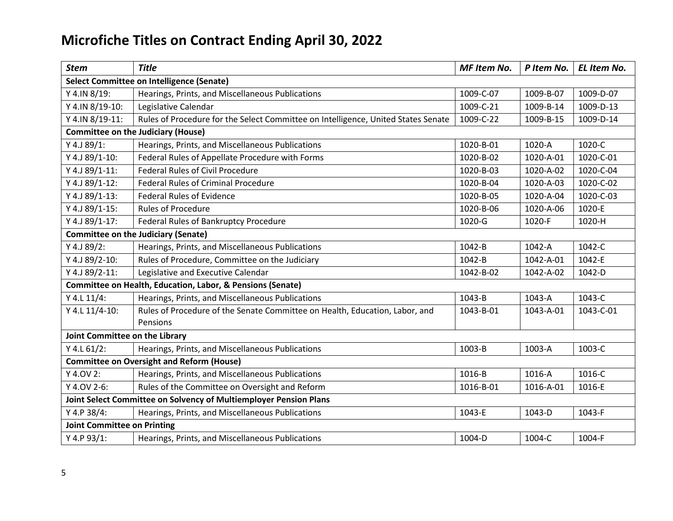| <b>Stem</b>                                                       | <b>Title</b>                                                                            | MF Item No. | P Item No. | EL Item No. |  |
|-------------------------------------------------------------------|-----------------------------------------------------------------------------------------|-------------|------------|-------------|--|
| <b>Select Committee on Intelligence (Senate)</b>                  |                                                                                         |             |            |             |  |
| Y 4.IN 8/19:                                                      | Hearings, Prints, and Miscellaneous Publications                                        | 1009-C-07   | 1009-B-07  | 1009-D-07   |  |
| Y 4.IN 8/19-10:                                                   | Legislative Calendar                                                                    | 1009-C-21   | 1009-B-14  | 1009-D-13   |  |
| Y 4.IN 8/19-11:                                                   | Rules of Procedure for the Select Committee on Intelligence, United States Senate       | 1009-C-22   | 1009-B-15  | 1009-D-14   |  |
|                                                                   | <b>Committee on the Judiciary (House)</b>                                               |             |            |             |  |
| Y 4.J 89/1:                                                       | Hearings, Prints, and Miscellaneous Publications                                        | 1020-B-01   | 1020-A     | 1020-C      |  |
| Y 4.J 89/1-10:                                                    | Federal Rules of Appellate Procedure with Forms                                         | 1020-B-02   | 1020-A-01  | 1020-C-01   |  |
| Y 4.J 89/1-11:                                                    | <b>Federal Rules of Civil Procedure</b>                                                 | 1020-B-03   | 1020-A-02  | 1020-C-04   |  |
| Y 4.J 89/1-12:                                                    | <b>Federal Rules of Criminal Procedure</b>                                              | 1020-B-04   | 1020-A-03  | 1020-C-02   |  |
| Y 4.J 89/1-13:                                                    | <b>Federal Rules of Evidence</b>                                                        | 1020-B-05   | 1020-A-04  | 1020-C-03   |  |
| Y 4.J 89/1-15:                                                    | <b>Rules of Procedure</b>                                                               | 1020-B-06   | 1020-A-06  | 1020-E      |  |
| Y 4.J 89/1-17:                                                    | Federal Rules of Bankruptcy Procedure                                                   | 1020-G      | 1020-F     | 1020-H      |  |
|                                                                   | <b>Committee on the Judiciary (Senate)</b>                                              |             |            |             |  |
| Y 4.J 89/2:                                                       | Hearings, Prints, and Miscellaneous Publications                                        | 1042-B      | 1042-A     | 1042-C      |  |
| Y 4.J 89/2-10:                                                    | Rules of Procedure, Committee on the Judiciary                                          | 1042-B      | 1042-A-01  | 1042-E      |  |
| Y 4.J 89/2-11:                                                    | Legislative and Executive Calendar                                                      | 1042-B-02   | 1042-A-02  | 1042-D      |  |
|                                                                   | Committee on Health, Education, Labor, & Pensions (Senate)                              |             |            |             |  |
| Y 4.L 11/4:                                                       | Hearings, Prints, and Miscellaneous Publications                                        | 1043-B      | 1043-A     | 1043-C      |  |
| Y 4.L 11/4-10:                                                    | Rules of Procedure of the Senate Committee on Health, Education, Labor, and<br>Pensions | 1043-B-01   | 1043-A-01  | 1043-C-01   |  |
| Joint Committee on the Library                                    |                                                                                         |             |            |             |  |
| $Y$ 4.L 61/2:                                                     | Hearings, Prints, and Miscellaneous Publications                                        | 1003-B      | 1003-A     | 1003-C      |  |
| <b>Committee on Oversight and Reform (House)</b>                  |                                                                                         |             |            |             |  |
| Y 4.0V 2:                                                         | Hearings, Prints, and Miscellaneous Publications                                        | 1016-B      | 1016-A     | 1016-C      |  |
| Y 4.0V 2-6:                                                       | Rules of the Committee on Oversight and Reform                                          | 1016-B-01   | 1016-A-01  | 1016-E      |  |
| Joint Select Committee on Solvency of Multiemployer Pension Plans |                                                                                         |             |            |             |  |
| Y 4.P 38/4:                                                       | Hearings, Prints, and Miscellaneous Publications                                        | 1043-E      | 1043-D     | 1043-F      |  |
| <b>Joint Committee on Printing</b>                                |                                                                                         |             |            |             |  |
| Y 4.P 93/1:                                                       | Hearings, Prints, and Miscellaneous Publications                                        | 1004-D      | 1004-C     | 1004-F      |  |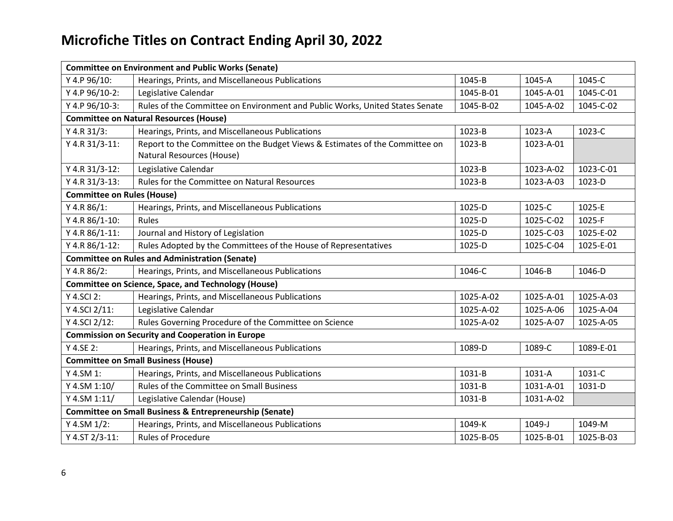| <b>Committee on Environment and Public Works (Senate)</b>          |                                                                              |           |           |           |  |  |
|--------------------------------------------------------------------|------------------------------------------------------------------------------|-----------|-----------|-----------|--|--|
| Y 4.P 96/10:                                                       | Hearings, Prints, and Miscellaneous Publications                             | 1045-B    | 1045-A    | 1045-C    |  |  |
| Y 4.P 96/10-2:                                                     | Legislative Calendar                                                         | 1045-B-01 | 1045-A-01 | 1045-C-01 |  |  |
| Y 4.P 96/10-3:                                                     | Rules of the Committee on Environment and Public Works, United States Senate | 1045-B-02 | 1045-A-02 | 1045-C-02 |  |  |
|                                                                    | <b>Committee on Natural Resources (House)</b>                                |           |           |           |  |  |
| Y 4.R 31/3:                                                        | Hearings, Prints, and Miscellaneous Publications                             | 1023-B    | 1023-A    | 1023-C    |  |  |
| Y 4.R 31/3-11:                                                     | Report to the Committee on the Budget Views & Estimates of the Committee on  | 1023-B    | 1023-A-01 |           |  |  |
|                                                                    | Natural Resources (House)                                                    |           |           |           |  |  |
| Y 4.R 31/3-12:                                                     | Legislative Calendar                                                         | 1023-B    | 1023-A-02 | 1023-C-01 |  |  |
| Y 4.R 31/3-13:                                                     | Rules for the Committee on Natural Resources                                 | 1023-B    | 1023-A-03 | 1023-D    |  |  |
| <b>Committee on Rules (House)</b>                                  |                                                                              |           |           |           |  |  |
| Y 4.R 86/1:                                                        | Hearings, Prints, and Miscellaneous Publications                             | 1025-D    | 1025-C    | 1025-E    |  |  |
| Y 4.R 86/1-10:                                                     | Rules                                                                        | 1025-D    | 1025-C-02 | 1025-F    |  |  |
| Y 4.R 86/1-11:                                                     | Journal and History of Legislation                                           | 1025-D    | 1025-C-03 | 1025-E-02 |  |  |
| Y 4.R 86/1-12:                                                     | Rules Adopted by the Committees of the House of Representatives              | 1025-D    | 1025-C-04 | 1025-E-01 |  |  |
|                                                                    | <b>Committee on Rules and Administration (Senate)</b>                        |           |           |           |  |  |
| Y 4.R $86/2$ :                                                     | Hearings, Prints, and Miscellaneous Publications                             | 1046-C    | 1046-B    | 1046-D    |  |  |
| <b>Committee on Science, Space, and Technology (House)</b>         |                                                                              |           |           |           |  |  |
| Y 4.SCI 2:                                                         | Hearings, Prints, and Miscellaneous Publications                             | 1025-A-02 | 1025-A-01 | 1025-A-03 |  |  |
| Y 4.SCI 2/11:                                                      | Legislative Calendar                                                         | 1025-A-02 | 1025-A-06 | 1025-A-04 |  |  |
| Y 4.SCI 2/12:                                                      | Rules Governing Procedure of the Committee on Science                        | 1025-A-02 | 1025-A-07 | 1025-A-05 |  |  |
| <b>Commission on Security and Cooperation in Europe</b>            |                                                                              |           |           |           |  |  |
| Y 4.SE 2:                                                          | Hearings, Prints, and Miscellaneous Publications                             | 1089-D    | 1089-C    | 1089-E-01 |  |  |
| <b>Committee on Small Business (House)</b>                         |                                                                              |           |           |           |  |  |
| Y 4.SM 1:                                                          | Hearings, Prints, and Miscellaneous Publications                             | 1031-B    | 1031-A    | 1031-C    |  |  |
| Y 4.SM 1:10/                                                       | <b>Rules of the Committee on Small Business</b>                              | 1031-B    | 1031-A-01 | 1031-D    |  |  |
| Y 4.SM 1:11/                                                       | Legislative Calendar (House)                                                 | 1031-B    | 1031-A-02 |           |  |  |
| <b>Committee on Small Business &amp; Entrepreneurship (Senate)</b> |                                                                              |           |           |           |  |  |
| Y 4.SM 1/2:                                                        | Hearings, Prints, and Miscellaneous Publications                             | 1049-K    | 1049-J    | 1049-M    |  |  |
| Y 4.ST 2/3-11:                                                     | <b>Rules of Procedure</b>                                                    | 1025-B-05 | 1025-B-01 | 1025-B-03 |  |  |